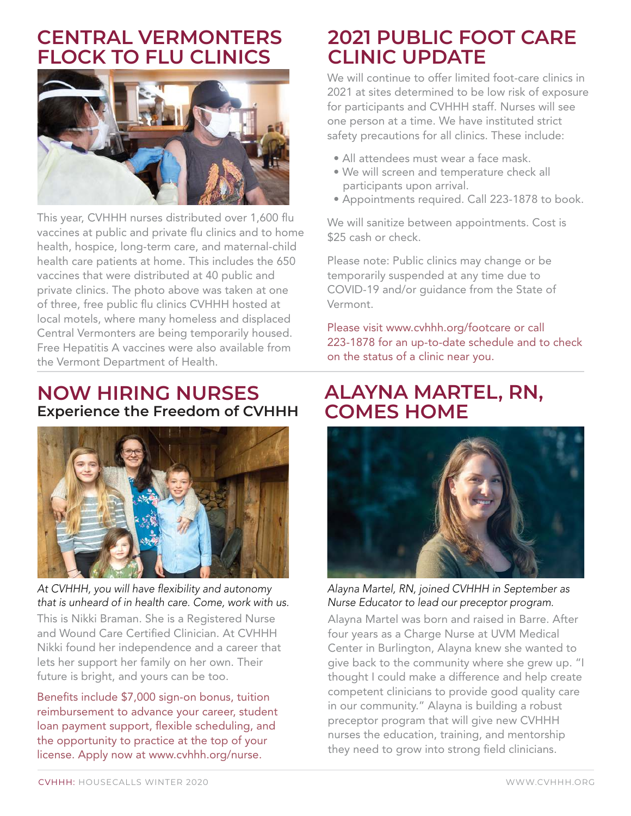### **CENTRAL VERMONTERS FLOCK TO FLU CLINICS**



This year, CVHHH nurses distributed over 1,600 flu vaccines at public and private flu clinics and to home health, hospice, long-term care, and maternal-child health care patients at home. This includes the 650 vaccines that were distributed at 40 public and private clinics. The photo above was taken at one of three, free public flu clinics CVHHH hosted at local motels, where many homeless and displaced Central Vermonters are being temporarily housed. Free Hepatitis A vaccines were also available from the Vermont Department of Health.

#### **NOW HIRING NURSES Experience the Freedom of CVHHH**



At CVHHH, you will have flexibility and autonomy that is unheard of in health care. Come, work with us.

This is Nikki Braman. She is a Registered Nurse and Wound Care Certified Clinician. At CVHHH Nikki found her independence and a career that lets her support her family on her own. Their future is bright, and yours can be too.

Benefits include \$7,000 sign-on bonus, tuition reimbursement to advance your career, student loan payment support, flexible scheduling, and the opportunity to practice at the top of your license. Apply now at www.cvhhh.org/nurse.

## **2021 PUBLIC FOOT CARE CLINIC UPDATE**

We will continue to offer limited foot-care clinics in 2021 at sites determined to be low risk of exposure for participants and CVHHH staff. Nurses will see one person at a time. We have instituted strict safety precautions for all clinics. These include:

- All attendees must wear a face mask.
- We will screen and temperature check all participants upon arrival.
- Appointments required. Call 223-1878 to book.

We will sanitize between appointments. Cost is \$25 cash or check.

Please note: Public clinics may change or be temporarily suspended at any time due to COVID-19 and/or guidance from the State of Vermont.

Please visit www.cvhhh.org/footcare or call 223-1878 for an up-to-date schedule and to check on the status of a clinic near you.

### **ALAYNA MARTEL, RN, COMES HOME**



Alayna Martel, RN, joined CVHHH in September as Nurse Educator to lead our preceptor program.

Alayna Martel was born and raised in Barre. After four years as a Charge Nurse at UVM Medical Center in Burlington, Alayna knew she wanted to give back to the community where she grew up. "I thought I could make a difference and help create competent clinicians to provide good quality care in our community." Alayna is building a robust preceptor program that will give new CVHHH nurses the education, training, and mentorship they need to grow into strong field clinicians.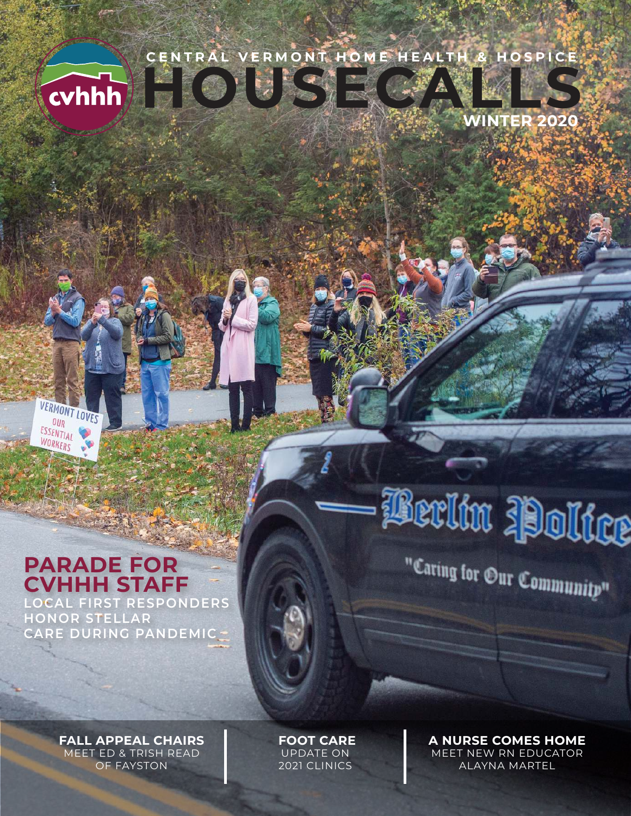# **HOUSECALLS CENTRAL VERMONT HOME HEALTH & HOSPICE**



**WINTER 2020**

#### **PARADE FOR CVHHH STAFF LOCAL FIRST RESPONDERS**

**VERMONT LOVES**  $OUR$ ESSENTIAL WORKERS

**HONOR STELLAR CARE DURING PANDEMIC** "Caring for Our Community"

**FALL APPEAL CHAIRS** MEET ED & TRISH READ OF FAYSTON

 **FOOT CARE** UPDATE ON 2021 CLINICS

**A NURSE COMES HOME** MEET NEW RN EDUCATOR ALAYNA MARTEL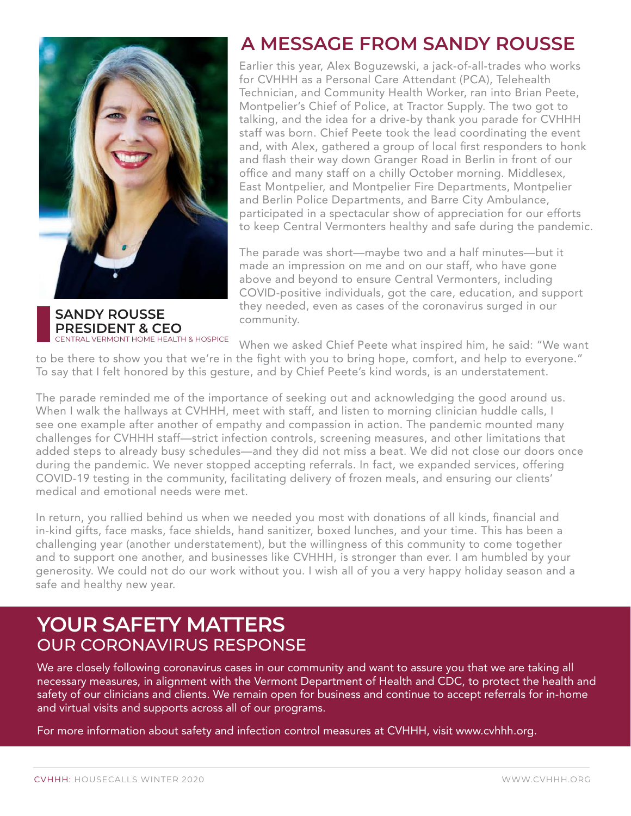

**SANDY ROUSSE PRESIDENT & CEO**  CENTRAL VERMONT HOME HEALTH & HOSPICE

#### **A MESSAGE FROM SANDY ROUSSE**

Earlier this year, Alex Boguzewski, a jack-of-all-trades who works for CVHHH as a Personal Care Attendant (PCA), Telehealth Technician, and Community Health Worker, ran into Brian Peete, Montpelier's Chief of Police, at Tractor Supply. The two got to talking, and the idea for a drive-by thank you parade for CVHHH staff was born. Chief Peete took the lead coordinating the event and, with Alex, gathered a group of local first responders to honk and flash their way down Granger Road in Berlin in front of our office and many staff on a chilly October morning. Middlesex, East Montpelier, and Montpelier Fire Departments, Montpelier and Berlin Police Departments, and Barre City Ambulance, participated in a spectacular show of appreciation for our efforts to keep Central Vermonters healthy and safe during the pandemic.

The parade was short—maybe two and a half minutes—but it made an impression on me and on our staff, who have gone above and beyond to ensure Central Vermonters, including COVID-positive individuals, got the care, education, and support they needed, even as cases of the coronavirus surged in our community.

When we asked Chief Peete what inspired him, he said: "We want to be there to show you that we're in the fight with you to bring hope, comfort, and help to everyone."

To say that I felt honored by this gesture, and by Chief Peete's kind words, is an understatement.

The parade reminded me of the importance of seeking out and acknowledging the good around us. When I walk the hallways at CVHHH, meet with staff, and listen to morning clinician huddle calls, I see one example after another of empathy and compassion in action. The pandemic mounted many challenges for CVHHH staff—strict infection controls, screening measures, and other limitations that added steps to already busy schedules—and they did not miss a beat. We did not close our doors once during the pandemic. We never stopped accepting referrals. In fact, we expanded services, offering COVID-19 testing in the community, facilitating delivery of frozen meals, and ensuring our clients' medical and emotional needs were met.

In return, you rallied behind us when we needed you most with donations of all kinds, financial and in-kind gifts, face masks, face shields, hand sanitizer, boxed lunches, and your time. This has been a challenging year (another understatement), but the willingness of this community to come together and to support one another, and businesses like CVHHH, is stronger than ever. I am humbled by your generosity. We could not do our work without you. I wish all of you a very happy holiday season and a safe and healthy new year.

#### **YOUR SAFETY MATTERS** OUR CORONAVIRUS RESPONSE

We are closely following coronavirus cases in our community and want to assure you that we are taking all necessary measures, in alignment with the Vermont Department of Health and CDC, to protect the health and safety of our clinicians and clients. We remain open for business and continue to accept referrals for in-home and virtual visits and supports across all of our programs.

For more information about safety and infection control measures at CVHHH, visit www.cvhhh.org.